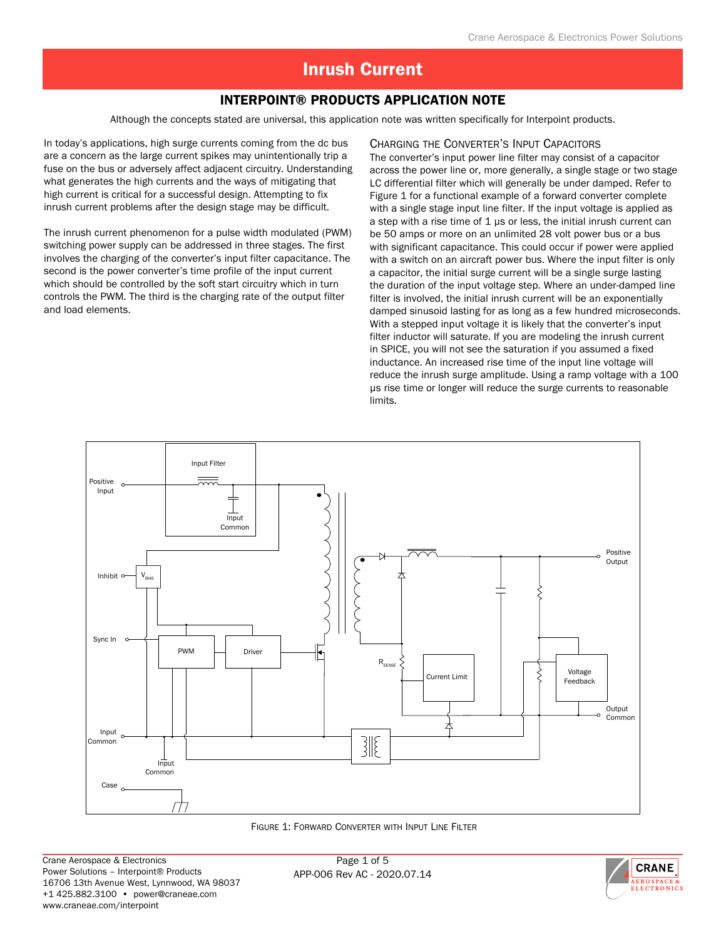### Interpoint® Products Application Note

Although the concepts stated are universal, this application note was written specifically for Interpoint products.

In today's applications, high surge currents coming from the dc bus are a concern as the large current spikes may unintentionally trip a fuse on the bus or adversely affect adjacent circuitry. Understanding what generates the high currents and the ways of mitigating that high current is critical for a successful design. Attempting to fix inrush current problems after the design stage may be difficult.

The inrush current phenomenon for a pulse width modulated (PWM) switching power supply can be addressed in three stages. The first involves the charging of the converter's input filter capacitance. The second is the power converter's time profile of the input current which should be controlled by the soft start circuitry which in turn controls the PWM. The third is the charging rate of the output filter and load elements.

#### Charging the Converter's Input Capacitors

The converter's input power line filter may consist of a capacitor across the power line or, more generally, a single stage or two stage LC differential filter which will generally be under damped. Refer to Figure 1 for a functional example of a forward converter complete with a single stage input line filter. If the input voltage is applied as a step with a rise time of  $1 \mu s$  or less, the initial inrush current can be 50 amps or more on an unlimited 28 volt power bus or a bus with significant capacitance. This could occur if power were applied with a switch on an aircraft power bus. Where the input filter is only a capacitor, the initial surge current will be a single surge lasting the duration of the input voltage step. Where an under-damped line filter is involved, the initial inrush current will be an exponentially damped sinusoid lasting for as long as a few hundred microseconds. With a stepped input voltage it is likely that the converter's input filter inductor will saturate. If you are modeling the inrush current in SPICE, you will not see the saturation if you assumed a fixed inductance. An increased rise time of the input line voltage will reduce the inrush surge amplitude. Using a ramp voltage with a 100 µs rise time or longer will reduce the surge currents to reasonable limits.



Figure 1: Forward Converter with Input Line Filter

Page 1 of 5 APP-006 Rev AC - 2020.07.14

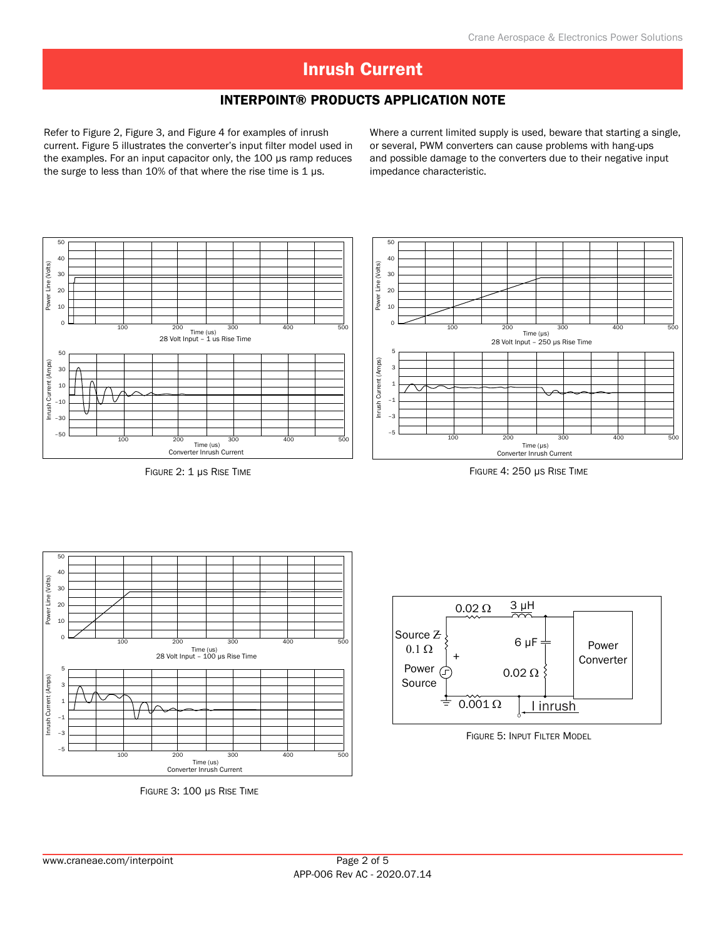### Interpoint® Products Application Note

Refer to Figure 2, Figure 3, and Figure 4 for examples of inrush current. Figure 5 illustrates the converter's input filter model used in the examples. For an input capacitor only, the 100 µs ramp reduces the surge to less than 10% of that where the rise time is 1  $\mu$ s.

Where a current limited supply is used, beware that starting a single, or several, PWM converters can cause problems with hang-ups and possible damage to the converters due to their negative input impedance characteristic.



Figure 2: 1 µs Rise Time





Figure 3: 100 µs Rise Time



Figure 5: Input Filter Model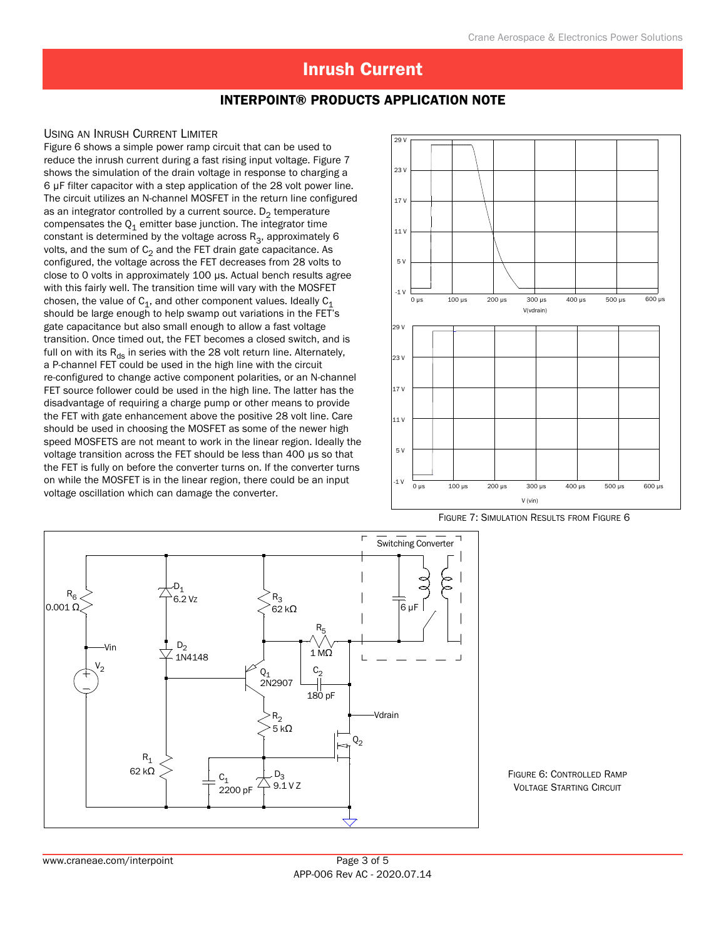### Interpoint® Products Application Note

#### Using an Inrush Current Limiter

Figure 6 shows a simple power ramp circuit that can be used to reduce the inrush current during a fast rising input voltage. Figure 7 shows the simulation of the drain voltage in response to charging a 6 µF filter capacitor with a step application of the 28 volt power line. The circuit utilizes an N-channel MOSFET in the return line configured as an integrator controlled by a current source.  $D_2$  temperature compensates the  $Q_1$  emitter base junction. The integrator time constant is determined by the voltage across  $R_3$ , approximately 6 volts, and the sum of  $C_2$  and the FET drain gate capacitance. As configured, the voltage across the FET decreases from 28 volts to close to 0 volts in approximately 100 µs. Actual bench results agree with this fairly well. The transition time will vary with the MOSFET chosen, the value of  $C_1$ , and other component values. Ideally  $C_1$ should be large enough to help swamp out variations in the FET's gate capacitance but also small enough to allow a fast voltage transition. Once timed out, the FET becomes a closed switch, and is full on with its  $R_{ds}$  in series with the 28 volt return line. Alternately, a P-channel FET could be used in the high line with the circuit re-configured to change active component polarities, or an N-channel FET source follower could be used in the high line. The latter has the disadvantage of requiring a charge pump or other means to provide the FET with gate enhancement above the positive 28 volt line. Care should be used in choosing the MOSFET as some of the newer high speed MOSFETS are not meant to work in the linear region. Ideally the voltage transition across the FET should be less than 400 µs so that the FET is fully on before the converter turns on. If the converter turns on while the MOSFET is in the linear region, there could be an input voltage oscillation which can damage the converter.



Figure 7: Simulation Results from Figure 6



Figure 6: Controlled Ramp **VOLTAGE STARTING CIRCUIT**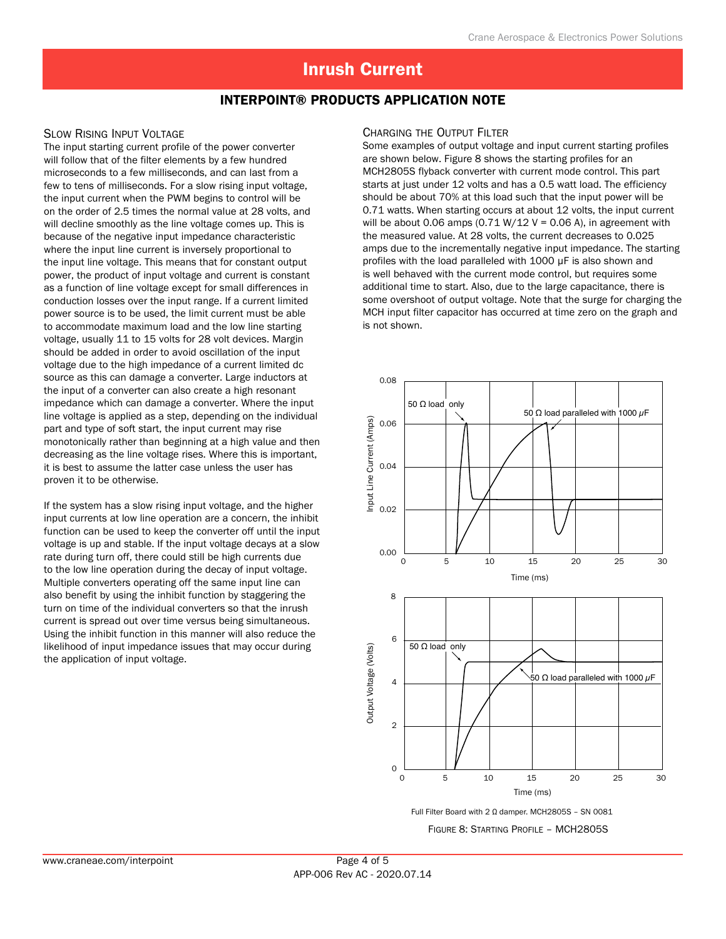### Interpoint® Products Application Note

#### Slow Rising Input Voltage

The input starting current profile of the power converter will follow that of the filter elements by a few hundred microseconds to a few milliseconds, and can last from a few to tens of milliseconds. For a slow rising input voltage, the input current when the PWM begins to control will be on the order of 2.5 times the normal value at 28 volts, and will decline smoothly as the line voltage comes up. This is because of the negative input impedance characteristic where the input line current is inversely proportional to the input line voltage. This means that for constant output power, the product of input voltage and current is constant as a function of line voltage except for small differences in conduction losses over the input range. If a current limited power source is to be used, the limit current must be able to accommodate maximum load and the low line starting voltage, usually 11 to 15 volts for 28 volt devices. Margin should be added in order to avoid oscillation of the input voltage due to the high impedance of a current limited dc source as this can damage a converter. Large inductors at the input of a converter can also create a high resonant impedance which can damage a converter. Where the input line voltage is applied as a step, depending on the individual part and type of soft start, the input current may rise monotonically rather than beginning at a high value and then decreasing as the line voltage rises. Where this is important, it is best to assume the latter case unless the user has proven it to be otherwise.

If the system has a slow rising input voltage, and the higher input currents at low line operation are a concern, the inhibit function can be used to keep the converter off until the input voltage is up and stable. If the input voltage decays at a slow rate during turn off, there could still be high currents due to the low line operation during the decay of input voltage. Multiple converters operating off the same input line can also benefit by using the inhibit function by staggering the turn on time of the individual converters so that the inrush current is spread out over time versus being simultaneous. Using the inhibit function in this manner will also reduce the likelihood of input impedance issues that may occur during the application of input voltage.

#### Charging the Output Filter

Some examples of output voltage and input current starting profiles are shown below. Figure 8 shows the starting profiles for an MCH2805S flyback converter with current mode control. This part starts at just under 12 volts and has a 0.5 watt load. The efficiency should be about 70% at this load such that the input power will be 0.71 watts. When starting occurs at about 12 volts, the input current will be about 0.06 amps  $(0.71 W/12 V = 0.06 A)$ , in agreement with the measured value. At 28 volts, the current decreases to 0.025 amps due to the incrementally negative input impedance. The starting profiles with the load paralleled with 1000 µF is also shown and is well behaved with the current mode control, but requires some additional time to start. Also, due to the large capacitance, there is some overshoot of output voltage. Note that the surge for charging the MCH input filter capacitor has occurred at time zero on the graph and is not shown.



Full Filter Board with 2 Ω damper. MCH2805S – SN 0081

Figure 8: Starting Profile – MCH2805S